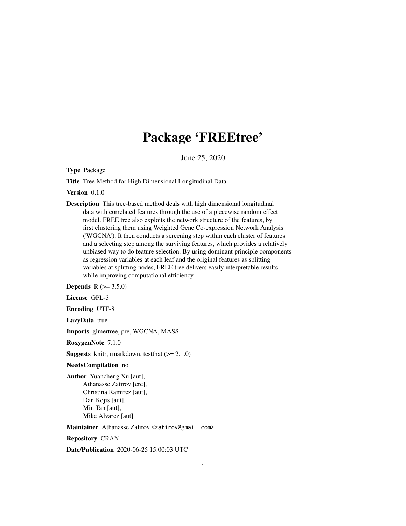## Package 'FREEtree'

June 25, 2020

Type Package

Title Tree Method for High Dimensional Longitudinal Data

Version 0.1.0

Description This tree-based method deals with high dimensional longitudinal data with correlated features through the use of a piecewise random effect model. FREE tree also exploits the network structure of the features, by first clustering them using Weighted Gene Co-expression Network Analysis ('WGCNA'). It then conducts a screening step within each cluster of features and a selecting step among the surviving features, which provides a relatively unbiased way to do feature selection. By using dominant principle components as regression variables at each leaf and the original features as splitting variables at splitting nodes, FREE tree delivers easily interpretable results while improving computational efficiency.

**Depends** R  $(>= 3.5.0)$ 

License GPL-3

Encoding UTF-8

LazyData true

Imports glmertree, pre, WGCNA, MASS

RoxygenNote 7.1.0

**Suggests** knitr, rmarkdown, test that  $(>= 2.1.0)$ 

#### NeedsCompilation no

Author Yuancheng Xu [aut], Athanasse Zafirov [cre], Christina Ramirez [aut], Dan Kojis [aut], Min Tan [aut], Mike Alvarez [aut]

Maintainer Athanasse Zafirov <zafirov@gmail.com>

Repository CRAN

Date/Publication 2020-06-25 15:00:03 UTC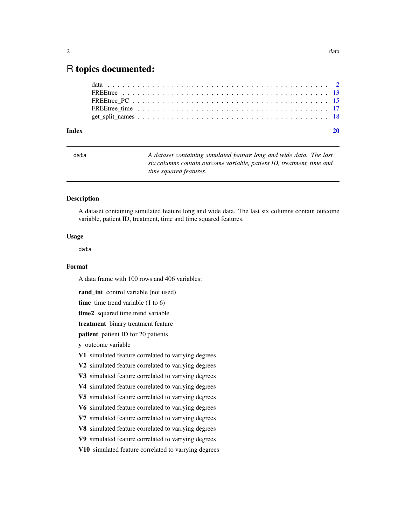### <span id="page-1-0"></span>R topics documented:

| Index |  |
|-------|--|
|       |  |
|       |  |
|       |  |
|       |  |
|       |  |

| a |  |  |  |
|---|--|--|--|
|   |  |  |  |

data *A dataset containing simulated feature long and wide data. The last six columns contain outcome variable, patient ID, treatment, time and time squared features.*

#### Description

A dataset containing simulated feature long and wide data. The last six columns contain outcome variable, patient ID, treatment, time and time squared features.

#### Usage

data

#### Format

A data frame with 100 rows and 406 variables:

rand\_int control variable (not used)

time time trend variable (1 to 6)

time2 squared time trend variable

treatment binary treatment feature

patient patient ID for 20 patients

y outcome variable

V1 simulated feature correlated to varrying degrees

V2 simulated feature correlated to varrying degrees

V3 simulated feature correlated to varrying degrees

V4 simulated feature correlated to varrying degrees

V5 simulated feature correlated to varrying degrees

V6 simulated feature correlated to varrying degrees

V7 simulated feature correlated to varrying degrees

V8 simulated feature correlated to varrying degrees

V9 simulated feature correlated to varrying degrees

V10 simulated feature correlated to varrying degrees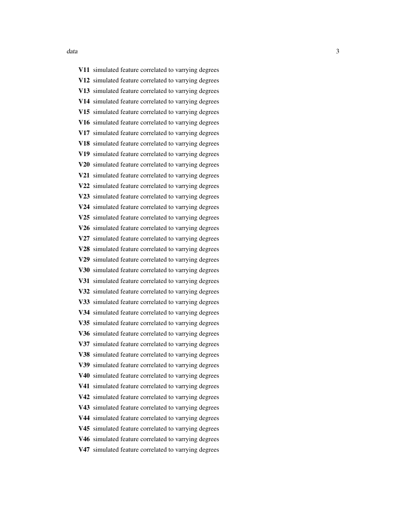V11 simulated feature correlated to varrying degrees V12 simulated feature correlated to varrying degrees V13 simulated feature correlated to varrying degrees V14 simulated feature correlated to varrying degrees V15 simulated feature correlated to varrying degrees V16 simulated feature correlated to varrying degrees V17 simulated feature correlated to varrying degrees V18 simulated feature correlated to varrying degrees V19 simulated feature correlated to varrying degrees V20 simulated feature correlated to varrying degrees V21 simulated feature correlated to varrying degrees V22 simulated feature correlated to varrying degrees V23 simulated feature correlated to varrying degrees V24 simulated feature correlated to varrying degrees V25 simulated feature correlated to varrying degrees V26 simulated feature correlated to varrying degrees V27 simulated feature correlated to varrying degrees V28 simulated feature correlated to varrying degrees V29 simulated feature correlated to varrying degrees V30 simulated feature correlated to varrying degrees V31 simulated feature correlated to varrying degrees V32 simulated feature correlated to varrying degrees V33 simulated feature correlated to varrying degrees V34 simulated feature correlated to varrying degrees V35 simulated feature correlated to varrying degrees V36 simulated feature correlated to varrying degrees V37 simulated feature correlated to varrying degrees V38 simulated feature correlated to varrying degrees V39 simulated feature correlated to varrying degrees V40 simulated feature correlated to varrying degrees V41 simulated feature correlated to varrying degrees V42 simulated feature correlated to varrying degrees V43 simulated feature correlated to varrying degrees V44 simulated feature correlated to varrying degrees V45 simulated feature correlated to varrying degrees V46 simulated feature correlated to varrying degrees V47 simulated feature correlated to varrying degrees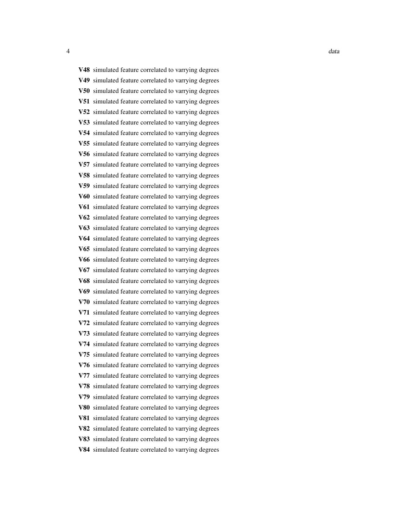data and the contract of the contract of the contract of the contract of the contract of the contract of the contract of the contract of the contract of the contract of the contract of the contract of the contract of the c V48 simulated feature correlated to varrying degrees V49 simulated feature correlated to varrying degrees V50 simulated feature correlated to varrying degrees

V51 simulated feature correlated to varrying degrees V52 simulated feature correlated to varrying degrees V53 simulated feature correlated to varrying degrees V54 simulated feature correlated to varrying degrees V55 simulated feature correlated to varrying degrees V56 simulated feature correlated to varrying degrees V57 simulated feature correlated to varrying degrees V58 simulated feature correlated to varrying degrees V59 simulated feature correlated to varrying degrees V60 simulated feature correlated to varrying degrees V61 simulated feature correlated to varrying degrees V62 simulated feature correlated to varrying degrees V63 simulated feature correlated to varrying degrees V64 simulated feature correlated to varrying degrees V65 simulated feature correlated to varrying degrees V66 simulated feature correlated to varrying degrees V67 simulated feature correlated to varrying degrees V68 simulated feature correlated to varrying degrees V69 simulated feature correlated to varrying degrees V70 simulated feature correlated to varrying degrees V71 simulated feature correlated to varrying degrees V72 simulated feature correlated to varrying degrees V73 simulated feature correlated to varrying degrees V74 simulated feature correlated to varrying degrees V75 simulated feature correlated to varrying degrees V76 simulated feature correlated to varrying degrees V77 simulated feature correlated to varrying degrees V78 simulated feature correlated to varrying degrees V79 simulated feature correlated to varrying degrees V80 simulated feature correlated to varrying degrees V81 simulated feature correlated to varrying degrees V82 simulated feature correlated to varrying degrees V83 simulated feature correlated to varrying degrees V84 simulated feature correlated to varrying degrees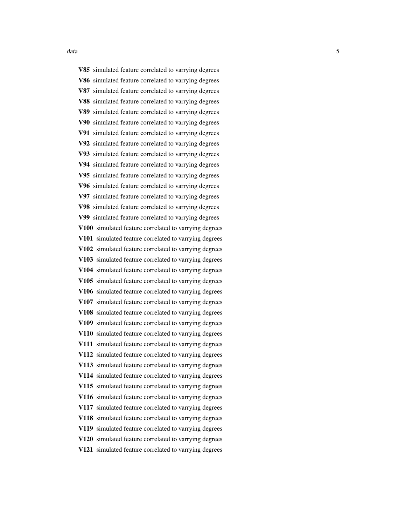V85 simulated feature correlated to varrying degrees V86 simulated feature correlated to varrying degrees V87 simulated feature correlated to varrying degrees V88 simulated feature correlated to varrying degrees V89 simulated feature correlated to varrying degrees V90 simulated feature correlated to varrying degrees V91 simulated feature correlated to varrying degrees V92 simulated feature correlated to varrying degrees V93 simulated feature correlated to varrying degrees V94 simulated feature correlated to varrying degrees V95 simulated feature correlated to varrying degrees V96 simulated feature correlated to varrying degrees V97 simulated feature correlated to varrying degrees V98 simulated feature correlated to varrying degrees V99 simulated feature correlated to varrying degrees V100 simulated feature correlated to varrying degrees V101 simulated feature correlated to varrying degrees V102 simulated feature correlated to varrying degrees V103 simulated feature correlated to varrying degrees V104 simulated feature correlated to varrying degrees V105 simulated feature correlated to varrying degrees V106 simulated feature correlated to varrying degrees V107 simulated feature correlated to varrying degrees V108 simulated feature correlated to varrying degrees V109 simulated feature correlated to varrying degrees V110 simulated feature correlated to varrying degrees V111 simulated feature correlated to varrying degrees V112 simulated feature correlated to varrying degrees V113 simulated feature correlated to varrying degrees V114 simulated feature correlated to varrying degrees V115 simulated feature correlated to varrying degrees V116 simulated feature correlated to varrying degrees V117 simulated feature correlated to varrying degrees V118 simulated feature correlated to varrying degrees V119 simulated feature correlated to varrying degrees V120 simulated feature correlated to varrying degrees V121 simulated feature correlated to varrying degrees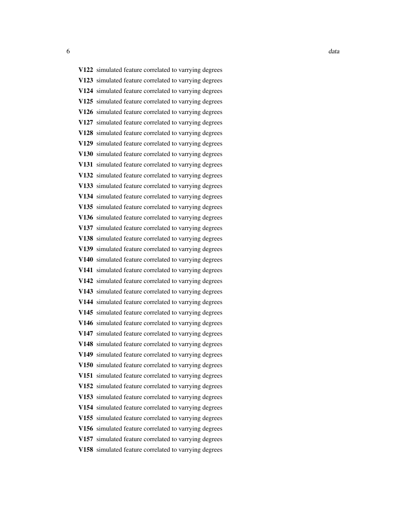V122 simulated feature correlated to varrying degrees V123 simulated feature correlated to varrying degrees V124 simulated feature correlated to varrying degrees V125 simulated feature correlated to varrying degrees V126 simulated feature correlated to varrying degrees V127 simulated feature correlated to varrying degrees V128 simulated feature correlated to varrying degrees V129 simulated feature correlated to varrying degrees V130 simulated feature correlated to varrying degrees V131 simulated feature correlated to varrying degrees V132 simulated feature correlated to varrying degrees V133 simulated feature correlated to varrying degrees V134 simulated feature correlated to varrying degrees V135 simulated feature correlated to varrying degrees V136 simulated feature correlated to varrying degrees V137 simulated feature correlated to varrying degrees V138 simulated feature correlated to varrying degrees V139 simulated feature correlated to varrying degrees V140 simulated feature correlated to varrying degrees V141 simulated feature correlated to varrying degrees V142 simulated feature correlated to varrying degrees V143 simulated feature correlated to varrying degrees V144 simulated feature correlated to varrying degrees V145 simulated feature correlated to varrying degrees V146 simulated feature correlated to varrying degrees V147 simulated feature correlated to varrying degrees V148 simulated feature correlated to varrying degrees V149 simulated feature correlated to varrying degrees V150 simulated feature correlated to varrying degrees V151 simulated feature correlated to varrying degrees V152 simulated feature correlated to varrying degrees V153 simulated feature correlated to varrying degrees V154 simulated feature correlated to varrying degrees V155 simulated feature correlated to varrying degrees V156 simulated feature correlated to varrying degrees V157 simulated feature correlated to varrying degrees V158 simulated feature correlated to varrying degrees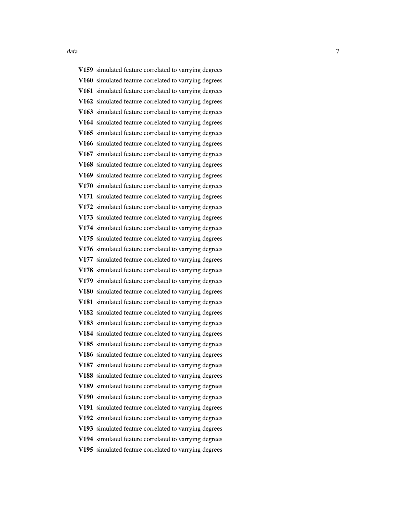V159 simulated feature correlated to varrying degrees V160 simulated feature correlated to varrying degrees V161 simulated feature correlated to varrying degrees V162 simulated feature correlated to varrying degrees V163 simulated feature correlated to varrying degrees V164 simulated feature correlated to varrying degrees V165 simulated feature correlated to varrying degrees V166 simulated feature correlated to varrying degrees V167 simulated feature correlated to varrying degrees V168 simulated feature correlated to varrying degrees V169 simulated feature correlated to varrying degrees V170 simulated feature correlated to varrying degrees V171 simulated feature correlated to varrying degrees V172 simulated feature correlated to varrying degrees V173 simulated feature correlated to varrying degrees V174 simulated feature correlated to varrying degrees V175 simulated feature correlated to varrying degrees V176 simulated feature correlated to varrying degrees V177 simulated feature correlated to varrying degrees V178 simulated feature correlated to varrying degrees V179 simulated feature correlated to varrying degrees V180 simulated feature correlated to varrying degrees V181 simulated feature correlated to varrying degrees V182 simulated feature correlated to varrying degrees V183 simulated feature correlated to varrying degrees V184 simulated feature correlated to varrying degrees V185 simulated feature correlated to varrying degrees V186 simulated feature correlated to varrying degrees V187 simulated feature correlated to varrying degrees V188 simulated feature correlated to varrying degrees V189 simulated feature correlated to varrying degrees V190 simulated feature correlated to varrying degrees V191 simulated feature correlated to varrying degrees V192 simulated feature correlated to varrying degrees V193 simulated feature correlated to varrying degrees V194 simulated feature correlated to varrying degrees V195 simulated feature correlated to varrying degrees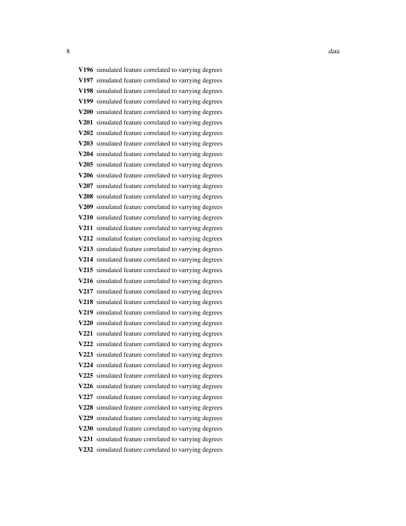V196 simulated feature correlated to varrying degrees V197 simulated feature correlated to varrying degrees V198 simulated feature correlated to varrying degrees V199 simulated feature correlated to varrying degrees V200 simulated feature correlated to varrying degrees V201 simulated feature correlated to varrying degrees V202 simulated feature correlated to varrying degrees V203 simulated feature correlated to varrying degrees V204 simulated feature correlated to varrying degrees V205 simulated feature correlated to varrying degrees V206 simulated feature correlated to varrying degrees V207 simulated feature correlated to varrying degrees V208 simulated feature correlated to varrying degrees V209 simulated feature correlated to varrying degrees V210 simulated feature correlated to varrying degrees V211 simulated feature correlated to varrying degrees V212 simulated feature correlated to varrying degrees V213 simulated feature correlated to varrying degrees V214 simulated feature correlated to varrying degrees V215 simulated feature correlated to varrying degrees V216 simulated feature correlated to varrying degrees V217 simulated feature correlated to varrying degrees V218 simulated feature correlated to varrying degrees V219 simulated feature correlated to varrying degrees V220 simulated feature correlated to varrying degrees V221 simulated feature correlated to varrying degrees V222 simulated feature correlated to varrying degrees V223 simulated feature correlated to varrying degrees V224 simulated feature correlated to varrying degrees V225 simulated feature correlated to varrying degrees V226 simulated feature correlated to varrying degrees V227 simulated feature correlated to varrying degrees V228 simulated feature correlated to varrying degrees V229 simulated feature correlated to varrying degrees V230 simulated feature correlated to varrying degrees V231 simulated feature correlated to varrying degrees V232 simulated feature correlated to varrying degrees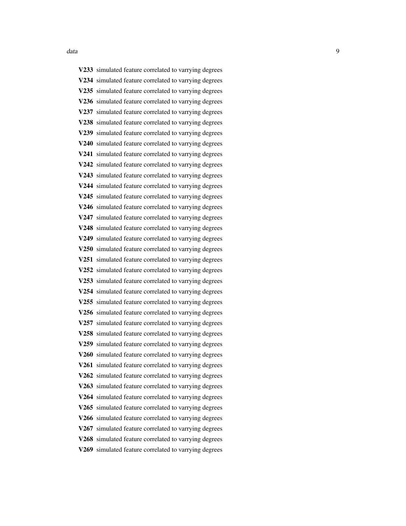V233 simulated feature correlated to varrying degrees V234 simulated feature correlated to varrying degrees V235 simulated feature correlated to varrying degrees V236 simulated feature correlated to varrying degrees V237 simulated feature correlated to varrying degrees V238 simulated feature correlated to varrying degrees V239 simulated feature correlated to varrying degrees V240 simulated feature correlated to varrying degrees V241 simulated feature correlated to varrying degrees V242 simulated feature correlated to varrying degrees V243 simulated feature correlated to varrying degrees V244 simulated feature correlated to varrying degrees V245 simulated feature correlated to varrying degrees V246 simulated feature correlated to varrying degrees V247 simulated feature correlated to varrying degrees V248 simulated feature correlated to varrying degrees V249 simulated feature correlated to varrying degrees V250 simulated feature correlated to varrying degrees V251 simulated feature correlated to varrying degrees V252 simulated feature correlated to varrying degrees V253 simulated feature correlated to varrying degrees V254 simulated feature correlated to varrying degrees V255 simulated feature correlated to varrying degrees V256 simulated feature correlated to varrying degrees V257 simulated feature correlated to varrying degrees V258 simulated feature correlated to varrying degrees V259 simulated feature correlated to varrying degrees V260 simulated feature correlated to varrying degrees V261 simulated feature correlated to varrying degrees V262 simulated feature correlated to varrying degrees V263 simulated feature correlated to varrying degrees V264 simulated feature correlated to varrying degrees V265 simulated feature correlated to varrying degrees V266 simulated feature correlated to varrying degrees V267 simulated feature correlated to varrying degrees V268 simulated feature correlated to varrying degrees V269 simulated feature correlated to varrying degrees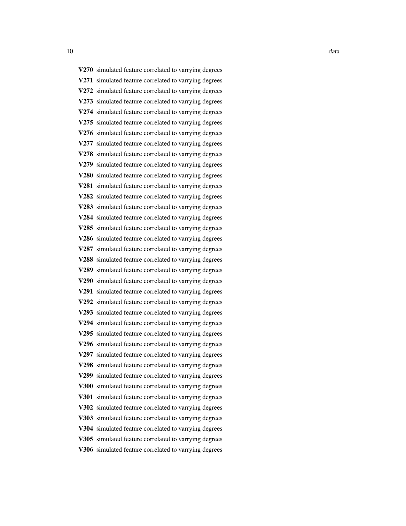10 data data berkenali ke ku sebagai ke sebagai ke sebagai ke sebagai ke sebagai ke sebagai ke sebagai ke sebagai ke sebagai ke sebagai ke sebagai ke sebagai ke sebagai ke sebagai ke sebagai ke sebagai ke sebagai ke sebaga

V270 simulated feature correlated to varrying degrees V271 simulated feature correlated to varrying degrees V272 simulated feature correlated to varrying degrees V273 simulated feature correlated to varrying degrees V274 simulated feature correlated to varrying degrees V275 simulated feature correlated to varrying degrees V276 simulated feature correlated to varrying degrees V277 simulated feature correlated to varrying degrees V278 simulated feature correlated to varrying degrees V279 simulated feature correlated to varrying degrees V280 simulated feature correlated to varrying degrees V281 simulated feature correlated to varrying degrees V282 simulated feature correlated to varrying degrees V283 simulated feature correlated to varrying degrees V284 simulated feature correlated to varrying degrees V285 simulated feature correlated to varrying degrees V286 simulated feature correlated to varrying degrees V287 simulated feature correlated to varrying degrees V288 simulated feature correlated to varrying degrees V289 simulated feature correlated to varrying degrees V290 simulated feature correlated to varrying degrees V291 simulated feature correlated to varrying degrees V292 simulated feature correlated to varrying degrees V293 simulated feature correlated to varrying degrees V294 simulated feature correlated to varrying degrees V295 simulated feature correlated to varrying degrees V296 simulated feature correlated to varrying degrees V297 simulated feature correlated to varrying degrees V298 simulated feature correlated to varrying degrees V299 simulated feature correlated to varrying degrees V300 simulated feature correlated to varrying degrees V301 simulated feature correlated to varrying degrees V302 simulated feature correlated to varrying degrees V303 simulated feature correlated to varrying degrees V304 simulated feature correlated to varrying degrees V305 simulated feature correlated to varrying degrees V306 simulated feature correlated to varrying degrees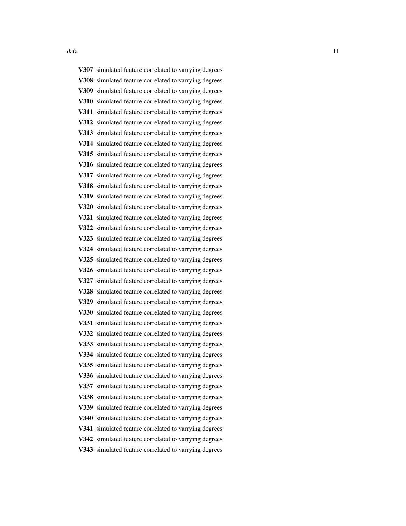V307 simulated feature correlated to varrying degrees V308 simulated feature correlated to varrying degrees V309 simulated feature correlated to varrying degrees V310 simulated feature correlated to varrying degrees V311 simulated feature correlated to varrying degrees V312 simulated feature correlated to varrying degrees V313 simulated feature correlated to varrying degrees V314 simulated feature correlated to varrying degrees V315 simulated feature correlated to varrying degrees V316 simulated feature correlated to varrying degrees V317 simulated feature correlated to varrying degrees V318 simulated feature correlated to varrying degrees V319 simulated feature correlated to varrying degrees V320 simulated feature correlated to varrying degrees V321 simulated feature correlated to varrying degrees V322 simulated feature correlated to varrying degrees V323 simulated feature correlated to varrying degrees V324 simulated feature correlated to varrying degrees V325 simulated feature correlated to varrying degrees V326 simulated feature correlated to varrying degrees V327 simulated feature correlated to varrying degrees V328 simulated feature correlated to varrying degrees V329 simulated feature correlated to varrying degrees V330 simulated feature correlated to varrying degrees V331 simulated feature correlated to varrying degrees V332 simulated feature correlated to varrying degrees V333 simulated feature correlated to varrying degrees V334 simulated feature correlated to varrying degrees V335 simulated feature correlated to varrying degrees V336 simulated feature correlated to varrying degrees V337 simulated feature correlated to varrying degrees V338 simulated feature correlated to varrying degrees V339 simulated feature correlated to varrying degrees V340 simulated feature correlated to varrying degrees V341 simulated feature correlated to varrying degrees V342 simulated feature correlated to varrying degrees V343 simulated feature correlated to varrying degrees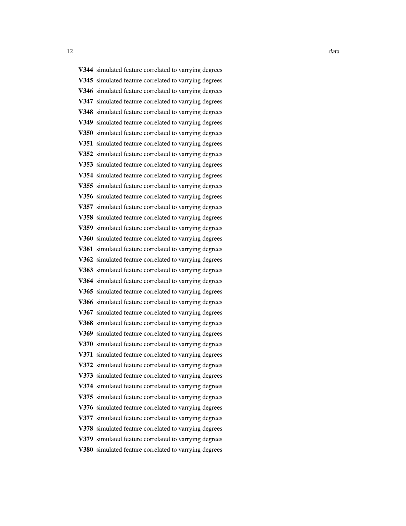12 data as a strong structure of the structure of the structure of the structure of the structure of the structure of the structure of the structure of the structure of the structure of the structure of the structure of th

V344 simulated feature correlated to varrying degrees V345 simulated feature correlated to varrying degrees V346 simulated feature correlated to varrying degrees V347 simulated feature correlated to varrying degrees V348 simulated feature correlated to varrying degrees V349 simulated feature correlated to varrying degrees V350 simulated feature correlated to varrying degrees V351 simulated feature correlated to varrying degrees V352 simulated feature correlated to varrying degrees V353 simulated feature correlated to varrying degrees V354 simulated feature correlated to varrying degrees V355 simulated feature correlated to varrying degrees V356 simulated feature correlated to varrying degrees V357 simulated feature correlated to varrying degrees V358 simulated feature correlated to varrying degrees V359 simulated feature correlated to varrying degrees V360 simulated feature correlated to varrying degrees V361 simulated feature correlated to varrying degrees V362 simulated feature correlated to varrying degrees V363 simulated feature correlated to varrying degrees V364 simulated feature correlated to varrying degrees V365 simulated feature correlated to varrying degrees V366 simulated feature correlated to varrying degrees V367 simulated feature correlated to varrying degrees V368 simulated feature correlated to varrying degrees V369 simulated feature correlated to varrying degrees V370 simulated feature correlated to varrying degrees V371 simulated feature correlated to varrying degrees V372 simulated feature correlated to varrying degrees V373 simulated feature correlated to varrying degrees V374 simulated feature correlated to varrying degrees V375 simulated feature correlated to varrying degrees V376 simulated feature correlated to varrying degrees V377 simulated feature correlated to varrying degrees V378 simulated feature correlated to varrying degrees V379 simulated feature correlated to varrying degrees V380 simulated feature correlated to varrying degrees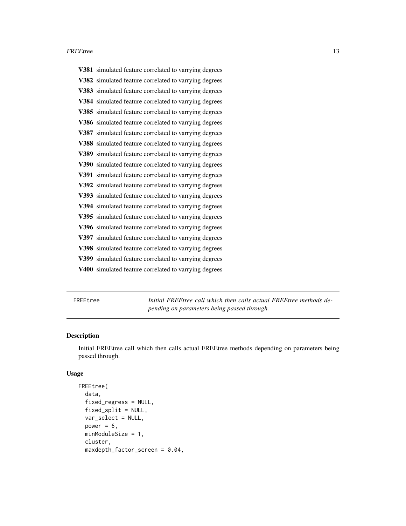#### <span id="page-12-0"></span>FREEtree 13

|      | V381 simulated feature correlated to varrying degrees |
|------|-------------------------------------------------------|
|      | V382 simulated feature correlated to varrying degrees |
|      | V383 simulated feature correlated to varrying degrees |
|      | V384 simulated feature correlated to varrying degrees |
|      | V385 simulated feature correlated to varrying degrees |
|      | V386 simulated feature correlated to varrying degrees |
| V387 | simulated feature correlated to varrying degrees      |
|      | V388 simulated feature correlated to varrying degrees |
|      | V389 simulated feature correlated to varrying degrees |
| V390 | simulated feature correlated to varrying degrees      |
|      | V391 simulated feature correlated to varrying degrees |
|      | V392 simulated feature correlated to varrying degrees |
|      | V393 simulated feature correlated to varrying degrees |
|      | V394 simulated feature correlated to varrying degrees |
|      | V395 simulated feature correlated to varrying degrees |
|      | V396 simulated feature correlated to varrying degrees |
| V397 | simulated feature correlated to varrying degrees      |
|      | V398 simulated feature correlated to varrying degrees |
|      | V399 simulated feature correlated to varrying degrees |
|      | V400 simulated feature correlated to varrying degrees |
|      |                                                       |

FREEtree *Initial FREEtree call which then calls actual FREEtree methods depending on parameters being passed through.*

#### Description

Initial FREEtree call which then calls actual FREEtree methods depending on parameters being passed through.

#### Usage

```
FREEtree(
  data,
  fixed_regress = NULL,
  fixed_split = NULL,
  var_select = NULL,
  power = 6,
 minModuleSize = 1,
  cluster,
 maxdepth_factor_screen = 0.04,
```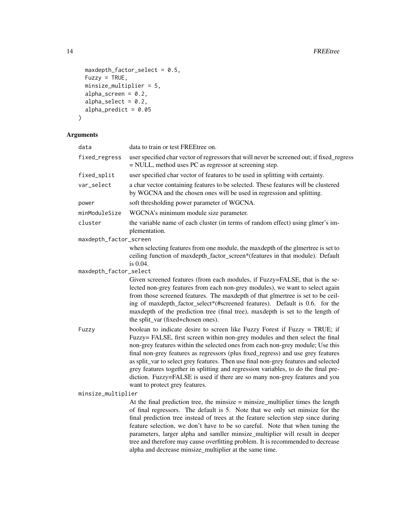```
maxdepth_factor_s-elect = 0.5,
 Fuzzy = TRUE,
 minsize_multiplier = 5,
 alpha_screen = 0.2,
 alpha_select = 0.2,
 alpha_predict = 0.05\mathcal{L}
```
#### Arguments

| data                   | data to train or test FREEtree on.                                                                                                                                                                                                                                                                                                                                                                                                                                                                                                                                                                                             |
|------------------------|--------------------------------------------------------------------------------------------------------------------------------------------------------------------------------------------------------------------------------------------------------------------------------------------------------------------------------------------------------------------------------------------------------------------------------------------------------------------------------------------------------------------------------------------------------------------------------------------------------------------------------|
| fixed_regress          | user specified char vector of regressors that will never be screened out; if fixed_regress<br>= NULL, method uses PC as regressor at screening step.                                                                                                                                                                                                                                                                                                                                                                                                                                                                           |
| fixed_split            | user specified char vector of features to be used in splitting with certainty.                                                                                                                                                                                                                                                                                                                                                                                                                                                                                                                                                 |
| var_select             | a char vector containing features to be selected. These features will be clustered<br>by WGCNA and the chosen ones will be used in regression and splitting.                                                                                                                                                                                                                                                                                                                                                                                                                                                                   |
| power                  | soft thresholding power parameter of WGCNA.                                                                                                                                                                                                                                                                                                                                                                                                                                                                                                                                                                                    |
| minModuleSize          | WGCNA's minimum module size parameter.                                                                                                                                                                                                                                                                                                                                                                                                                                                                                                                                                                                         |
| cluster                | the variable name of each cluster (in terms of random effect) using glmer's im-<br>plementation.                                                                                                                                                                                                                                                                                                                                                                                                                                                                                                                               |
| maxdepth_factor_screen |                                                                                                                                                                                                                                                                                                                                                                                                                                                                                                                                                                                                                                |
|                        | when selecting features from one module, the maxdepth of the glmertree is set to<br>ceiling function of maxdepth_factor_screen*(features in that module). Default<br>is 0.04.                                                                                                                                                                                                                                                                                                                                                                                                                                                  |
| maxdepth_factor_select |                                                                                                                                                                                                                                                                                                                                                                                                                                                                                                                                                                                                                                |
|                        | Given screened features (from each modules, if Fuzzy=FALSE, that is the se-<br>lected non-grey features from each non-grey modules), we want to select again<br>from those screened features. The maxdepth of that glmertree is set to be ceil-<br>ing of maxdepth_factor_select*(#screened features). Default is 0.6. for the<br>maxdepth of the prediction tree (final tree), maxdepth is set to the length of<br>the split_var (fixed+chosen ones).                                                                                                                                                                         |
| Fuzzy                  | boolean to indicate desire to screen like Fuzzy Forest if Fuzzy = TRUE; if<br>Fuzzy= FALSE, first screen within non-grey modules and then select the final<br>non-grey features within the selected ones from each non-grey module; Use this<br>final non-grey features as regressors (plus fixed_regress) and use grey features<br>as split_var to select grey features. Then use final non-grey features and selected<br>grey features together in splitting and regression variables, to do the final pre-<br>diction. Fuzzy=FALSE is used if there are so many non-grey features and you<br>want to protect grey features. |
| minsize_multiplier     |                                                                                                                                                                                                                                                                                                                                                                                                                                                                                                                                                                                                                                |
|                        | At the final prediction tree, the minsize $=$ minsize $_$ multiplier times the length<br>of final regressors. The default is 5. Note that we only set minsize for the<br>final prediction tree instead of trees at the feature selection step since during<br>feature selection, we don't have to be so careful. Note that when tuning the<br>parameters, larger alpha and samller minsize_multiplier will result in deeper<br>tree and therefore may cause overfitting problem. It is recommended to decrease<br>alpha and decrease minsize_multiplier at the same time.                                                      |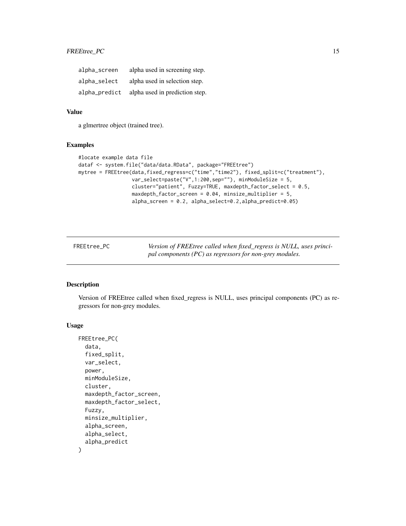#### <span id="page-14-0"></span>FREEtree\_PC 15

| alpha_screen  | alpha used in screening step.  |
|---------------|--------------------------------|
| alpha_select  | alpha used in selection step.  |
| alpha_predict | alpha used in prediction step. |

#### Value

a glmertree object (trained tree).

#### Examples

```
#locate example data file
dataf <- system.file("data/data.RData", package="FREEtree")
mytree = FREEtree(data,fixed_regress=c("time","time2"), fixed_split=c("treatment"),
                  var_select=paste("V",1:200,sep=""), minModuleSize = 5,
                  cluster="patient", Fuzzy=TRUE, maxdepth_factor_select = 0.5,
                  maxdepth_factor_screen = 0.04, minsize_multiplier = 5,
                  alpha_screen = 0.2, alpha_select=0.2,alpha_predict=0.05)
```

| FREEtree PC | Version of FREEtree called when fixed_regress is NULL, uses princi- |
|-------------|---------------------------------------------------------------------|
|             | pal components (PC) as regressors for non-grey modules.             |

#### Description

Version of FREEtree called when fixed\_regress is NULL, uses principal components (PC) as regressors for non-grey modules.

#### Usage

```
FREEtree_PC(
  data,
  fixed_split,
  var_select,
  power,
  minModuleSize,
  cluster,
  maxdepth_factor_screen,
  maxdepth_factor_select,
  Fuzzy,
  minsize_multiplier,
  alpha_screen,
  alpha_select,
  alpha_predict
)
```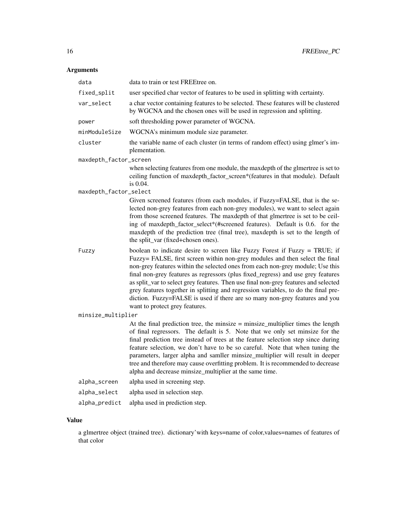#### Arguments

| data                   | data to train or test FREEtree on.                                                                                                                                                                                                                                                                                                                                                                                                                                                                                                                                                                                             |  |  |
|------------------------|--------------------------------------------------------------------------------------------------------------------------------------------------------------------------------------------------------------------------------------------------------------------------------------------------------------------------------------------------------------------------------------------------------------------------------------------------------------------------------------------------------------------------------------------------------------------------------------------------------------------------------|--|--|
| fixed_split            | user specified char vector of features to be used in splitting with certainty.                                                                                                                                                                                                                                                                                                                                                                                                                                                                                                                                                 |  |  |
| var_select             | a char vector containing features to be selected. These features will be clustered<br>by WGCNA and the chosen ones will be used in regression and splitting.                                                                                                                                                                                                                                                                                                                                                                                                                                                                   |  |  |
| power                  | soft thresholding power parameter of WGCNA.                                                                                                                                                                                                                                                                                                                                                                                                                                                                                                                                                                                    |  |  |
| minModuleSize          | WGCNA's minimum module size parameter.                                                                                                                                                                                                                                                                                                                                                                                                                                                                                                                                                                                         |  |  |
| cluster                | the variable name of each cluster (in terms of random effect) using glmer's im-<br>plementation.                                                                                                                                                                                                                                                                                                                                                                                                                                                                                                                               |  |  |
| maxdepth_factor_screen |                                                                                                                                                                                                                                                                                                                                                                                                                                                                                                                                                                                                                                |  |  |
|                        | when selecting features from one module, the maxdepth of the glmertree is set to<br>ceiling function of maxdepth_factor_screen*(features in that module). Default<br>is $0.04$ .                                                                                                                                                                                                                                                                                                                                                                                                                                               |  |  |
| maxdepth_factor_select | Given screened features (from each modules, if Fuzzy=FALSE, that is the se-                                                                                                                                                                                                                                                                                                                                                                                                                                                                                                                                                    |  |  |
|                        | lected non-grey features from each non-grey modules), we want to select again<br>from those screened features. The maxdepth of that glmertree is set to be ceil-<br>ing of maxdepth_factor_select*(#screened features). Default is 0.6. for the<br>maxdepth of the prediction tree (final tree), maxdepth is set to the length of<br>the split_var (fixed+chosen ones).                                                                                                                                                                                                                                                        |  |  |
| Fuzzy                  | boolean to indicate desire to screen like Fuzzy Forest if Fuzzy = TRUE; if<br>Fuzzy= FALSE, first screen within non-grey modules and then select the final<br>non-grey features within the selected ones from each non-grey module; Use this<br>final non-grey features as regressors (plus fixed_regress) and use grey features<br>as split_var to select grey features. Then use final non-grey features and selected<br>grey features together in splitting and regression variables, to do the final pre-<br>diction. Fuzzy=FALSE is used if there are so many non-grey features and you<br>want to protect grey features. |  |  |
| minsize_multiplier     |                                                                                                                                                                                                                                                                                                                                                                                                                                                                                                                                                                                                                                |  |  |
|                        | At the final prediction tree, the minsize $=$ minsize_multiplier times the length<br>of final regressors. The default is 5. Note that we only set minsize for the<br>final prediction tree instead of trees at the feature selection step since during<br>feature selection, we don't have to be so careful. Note that when tuning the<br>parameters, larger alpha and samller minsize_multiplier will result in deeper<br>tree and therefore may cause overfitting problem. It is recommended to decrease<br>alpha and decrease minsize_multiplier at the same time.                                                          |  |  |
| alpha_screen           | alpha used in screening step.                                                                                                                                                                                                                                                                                                                                                                                                                                                                                                                                                                                                  |  |  |
| alpha_select           | alpha used in selection step.                                                                                                                                                                                                                                                                                                                                                                                                                                                                                                                                                                                                  |  |  |
| alpha_predict          | alpha used in prediction step.                                                                                                                                                                                                                                                                                                                                                                                                                                                                                                                                                                                                 |  |  |

#### Value

a glmertree object (trained tree). dictionary'with keys=name of color,values=names of features of that color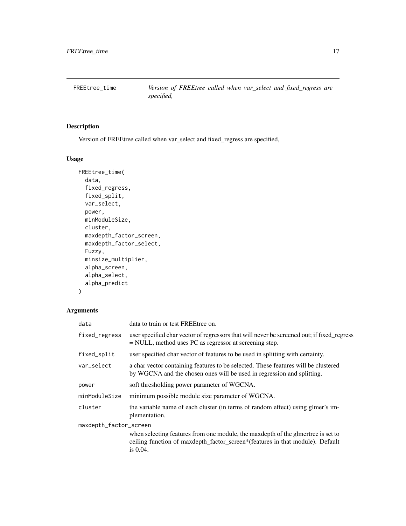<span id="page-16-0"></span>FREEtree\_time *Version of FREEtree called when var\_select and fixed\_regress are specified,*

#### Description

Version of FREEtree called when var\_select and fixed\_regress are specified,

#### Usage

```
FREEtree_time(
  data,
  fixed_regress,
  fixed_split,
  var_select,
 power,
 minModuleSize,
  cluster,
 maxdepth_factor_screen,
 maxdepth_factor_select,
 Fuzzy,
 minsize_multiplier,
  alpha_screen,
  alpha_select,
  alpha_predict
)
```
#### Arguments

| data                   | data to train or test FREE tree on.                                                                                                                                              |
|------------------------|----------------------------------------------------------------------------------------------------------------------------------------------------------------------------------|
| fixed_regress          | user specified char vector of regressors that will never be screened out; if fixed_regress<br>$=$ NULL, method uses PC as regressor at screening step.                           |
| fixed_split            | user specified char vector of features to be used in splitting with certainty.                                                                                                   |
| var select             | a char vector containing features to be selected. These features will be clustered<br>by WGCNA and the chosen ones will be used in regression and splitting.                     |
| power                  | soft thresholding power parameter of WGCNA.                                                                                                                                      |
| minModuleSize          | minimum possible module size parameter of WGCNA.                                                                                                                                 |
| cluster                | the variable name of each cluster (in terms of random effect) using glmer's im-<br>plementation.                                                                                 |
| maxdepth_factor_screen |                                                                                                                                                                                  |
|                        | when selecting features from one module, the maxdepth of the glmertree is set to<br>ceiling function of maxdepth_factor_screen*(features in that module). Default<br>is $0.04$ . |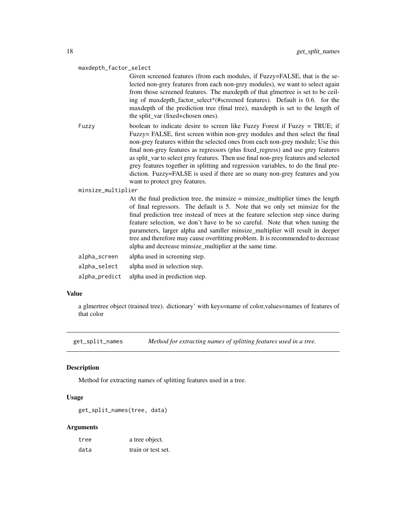#### <span id="page-17-0"></span>maxdepth\_factor\_select

Given screened features (from each modules, if Fuzzy=FALSE, that is the selected non-grey features from each non-grey modules), we want to select again from those screened features. The maxdepth of that glmertree is set to be ceiling of maxdepth factor select\*(#screened features). Default is 0.6. for the maxdepth of the prediction tree (final tree), maxdepth is set to the length of the split\_var (fixed+chosen ones).

Fuzzy boolean to indicate desire to screen like Fuzzy Forest if Fuzzy = TRUE; if Fuzzy= FALSE, first screen within non-grey modules and then select the final non-grey features within the selected ones from each non-grey module; Use this final non-grey features as regressors (plus fixed\_regress) and use grey features as split var to select grey features. Then use final non-grey features and selected grey features together in splitting and regression variables, to do the final prediction. Fuzzy=FALSE is used if there are so many non-grey features and you want to protect grey features.

minsize\_multiplier

At the final prediction tree, the minsize  $=$  minsize\_multiplier times the length of final regressors. The default is 5. Note that we only set minsize for the final prediction tree instead of trees at the feature selection step since during feature selection, we don't have to be so careful. Note that when tuning the parameters, larger alpha and samller minsize\_multiplier will result in deeper tree and therefore may cause overfitting problem. It is recommended to decrease alpha and decrease minsize\_multiplier at the same time.

| alpha_screen  | alpha used in screening step.  |
|---------------|--------------------------------|
| alpha_select  | alpha used in selection step.  |
| alpha_predict | alpha used in prediction step. |

#### Value

a glmertree object (trained tree). dictionary' with keys=name of color,values=names of features of that color

get\_split\_names *Method for extracting names of splitting features used in a tree.*

#### Description

Method for extracting names of splitting features used in a tree.

#### Usage

```
get_split_names(tree, data)
```
#### Arguments

| tree | a tree object.     |
|------|--------------------|
| data | train or test set. |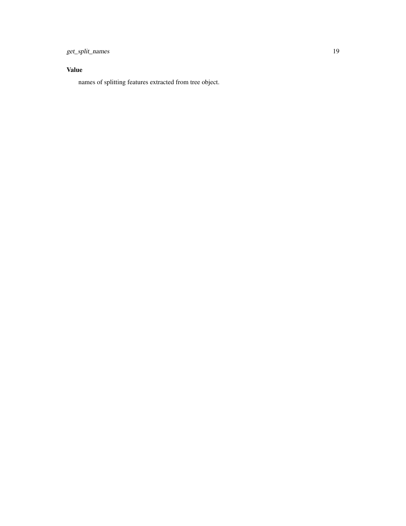get\_split\_names 19

#### Value

names of splitting features extracted from tree object.